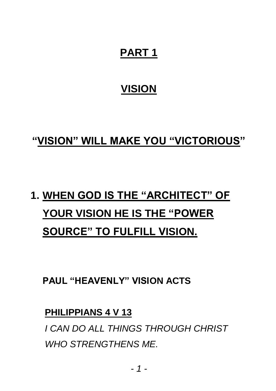# **PART 1**

# **VISION**

## **"VISION" WILL MAKE YOU "VICTORIOUS"**

# **1. WHEN GOD IS THE "ARCHITECT" OF YOUR VISION HE IS THE "POWER SOURCE" TO FULFILL VISION.**

**PAUL "HEAVENLY" VISION ACTS** 

### **PHILIPPIANS 4 V 13**

*I CAN DO ALL THINGS THROUGH CHRIST WHO STRENGTHENS ME.*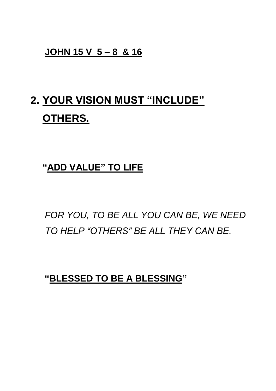#### **JOHN 15 V 5 – 8 & 16**

# **2. YOUR VISION MUST "INCLUDE" OTHERS.**

## **"ADD VALUE" TO LIFE**

*FOR YOU, TO BE ALL YOU CAN BE, WE NEED TO HELP "OTHERS" BE ALL THEY CAN BE.* 

**"BLESSED TO BE A BLESSING"**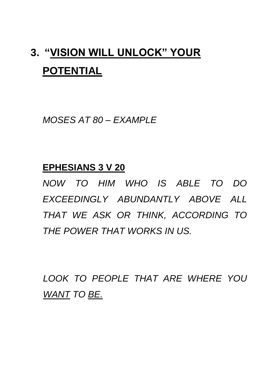# **3. "VISION WILL UNLOCK" YOUR POTENTIAL**

*MOSES AT 80 – EXAMPLE*

### **EPHESIANS 3 V 20**

*NOW TO HIM WHO IS ABLE TO DO EXCEEDINGLY ABUNDANTLY ABOVE ALL THAT WE ASK OR THINK, ACCORDING TO THE POWER THAT WORKS IN US.*

*LOOK TO PEOPLE THAT ARE WHERE YOU WANT TO BE.*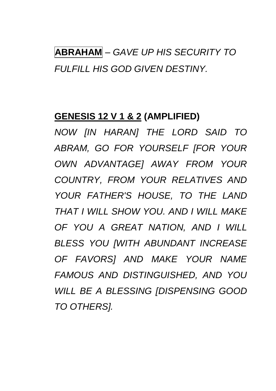# **ABRAHAM** *– GAVE UP HIS SECURITY TO FULFILL HIS GOD GIVEN DESTINY.*

### **GENESIS 12 V 1 & 2 (AMPLIFIED)**

*NOW [IN HARAN] THE LORD SAID TO ABRAM, GO FOR YOURSELF [FOR YOUR OWN ADVANTAGE] AWAY FROM YOUR COUNTRY, FROM YOUR RELATIVES AND YOUR FATHER'S HOUSE, TO THE LAND THAT I WILL SHOW YOU. AND I WILL MAKE OF YOU A GREAT NATION, AND I WILL BLESS YOU [WITH ABUNDANT INCREASE OF FAVORS] AND MAKE YOUR NAME FAMOUS AND DISTINGUISHED, AND YOU WILL BE A BLESSING [DISPENSING GOOD TO OTHERS].*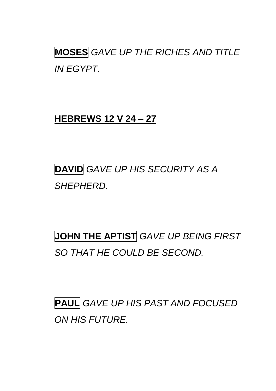**MOSES** *GAVE UP THE RICHES AND TITLE IN EGYPT.*

### **HEBREWS 12 V 24 – 27**

# **DAVID** *GAVE UP HIS SECURITY AS A SHEPHERD.*

**JOHN THE APTIST** *GAVE UP BEING FIRST SO THAT HE COULD BE SECOND.*

**PAUL** *GAVE UP HIS PAST AND FOCUSED ON HIS FUTURE.*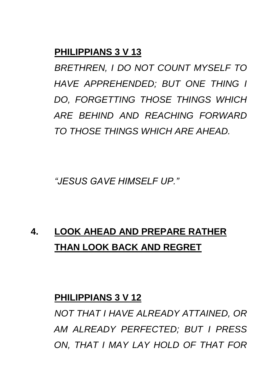### **PHILIPPIANS 3 V 13**

*BRETHREN, I DO NOT COUNT MYSELF TO HAVE APPREHENDED; BUT ONE THING I DO, FORGETTING THOSE THINGS WHICH ARE BEHIND AND REACHING FORWARD TO THOSE THINGS WHICH ARE AHEAD.*

*"JESUS GAVE HIMSELF UP."*

# **4. LOOK AHEAD AND PREPARE RATHER THAN LOOK BACK AND REGRET**

#### **PHILIPPIANS 3 V 12**

*NOT THAT I HAVE ALREADY ATTAINED, OR AM ALREADY PERFECTED; BUT I PRESS ON, THAT I MAY LAY HOLD OF THAT FOR*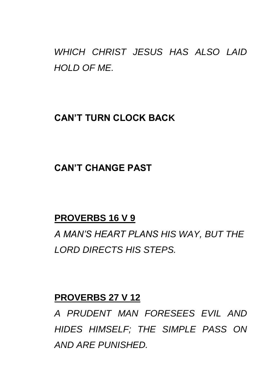*WHICH CHRIST JESUS HAS ALSO LAID HOLD OF ME.*

### **CAN'T TURN CLOCK BACK**

## **CAN'T CHANGE PAST**

### **PROVERBS 16 V 9**

*A MAN'S HEART PLANS HIS WAY, BUT THE LORD DIRECTS HIS STEPS.*

#### **PROVERBS 27 V 12**

*A PRUDENT MAN FORESEES EVIL AND HIDES HIMSELF; THE SIMPLE PASS ON AND ARE PUNISHED.*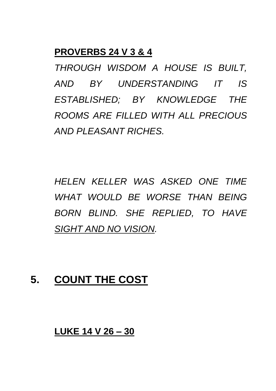#### **PROVERBS 24 V 3 & 4**

*THROUGH WISDOM A HOUSE IS BUILT, AND BY UNDERSTANDING IT IS ESTABLISHED; BY KNOWLEDGE THE ROOMS ARE FILLED WITH ALL PRECIOUS AND PLEASANT RICHES.*

*HELEN KELLER WAS ASKED ONE TIME WHAT WOULD BE WORSE THAN BEING BORN BLIND. SHE REPLIED, TO HAVE SIGHT AND NO VISION.*

## **5. COUNT THE COST**

#### **LUKE 14 V 26 – 30**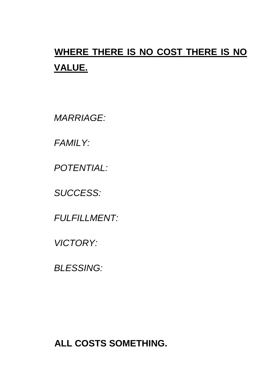# **WHERE THERE IS NO COST THERE IS NO VALUE.**

*MARRIAGE:*

*FAMILY:*

*POTENTIAL:*

*SUCCESS:*

*FULFILLMENT:*

*VICTORY:*

*BLESSING:*

**ALL COSTS SOMETHING.**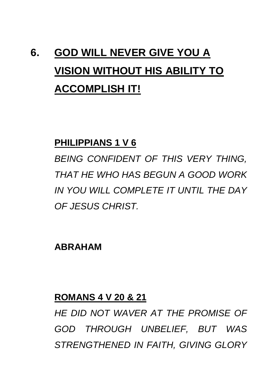# **6. GOD WILL NEVER GIVE YOU A VISION WITHOUT HIS ABILITY TO ACCOMPLISH IT!**

#### **PHILIPPIANS 1 V 6**

*BEING CONFIDENT OF THIS VERY THING, THAT HE WHO HAS BEGUN A GOOD WORK IN YOU WILL COMPLETE IT UNTIL THE DAY OF JESUS CHRIST.*

**ABRAHAM**

#### **ROMANS 4 V 20 & 21**

*HE DID NOT WAVER AT THE PROMISE OF GOD THROUGH UNBELIEF, BUT WAS STRENGTHENED IN FAITH, GIVING GLORY*